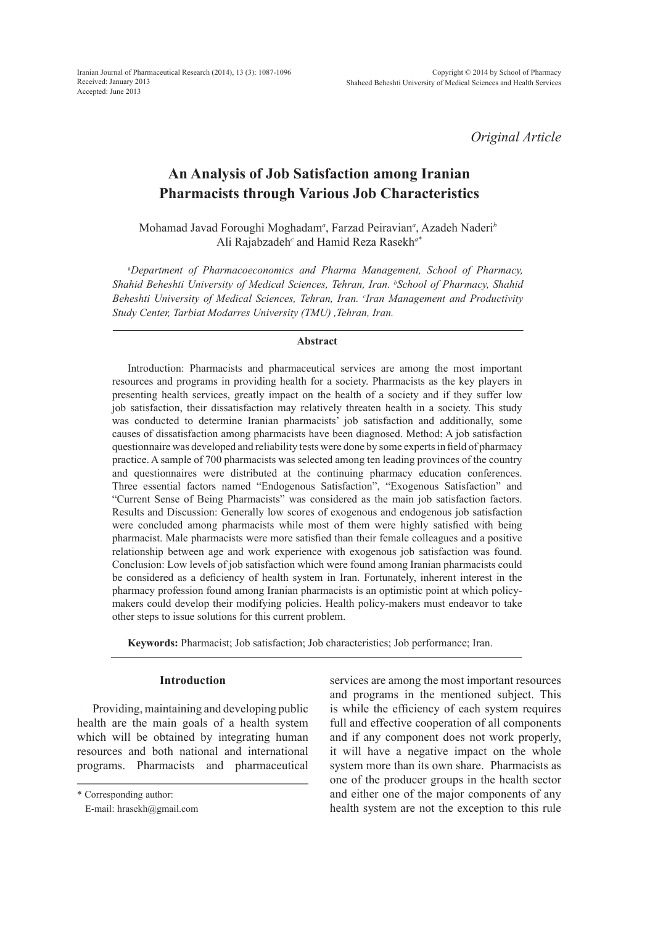Iranian Journal of Pharmaceutical Research (2014), 13 (3): 1087-1096 Received: January 2013 Accepted: June 2013

*Original Article*

# **An Analysis of Job Satisfaction among Iranian Pharmacists through Various Job Characteristics**

Mohamad Javad Foroughi Moghadam*<sup>a</sup>* , Farzad Peiravian*<sup>a</sup>* , Azadeh Naderi*<sup>b</sup>* Ali Rajabzadeh*<sup>c</sup>* and Hamid Reza Rasekh*a\**

a *Department of Pharmacoeconomics and Pharma Management, School of Pharmacy, Shahid Beheshti University of Medical Sciences, Tehran, Iran. b School of Pharmacy, Shahid Beheshti University of Medical Sciences, Tehran, Iran. c Iran Management and Productivity Study Center, Tarbiat Modarres University (TMU) ,Tehran, Iran.*

#### **Abstract**

Introduction: Pharmacists and pharmaceutical services are among the most important resources and programs in providing health for a society. Pharmacists as the key players in presenting health services, greatly impact on the health of a society and if they suffer low job satisfaction, their dissatisfaction may relatively threaten health in a society. This study was conducted to determine Iranian pharmacists' job satisfaction and additionally, some causes of dissatisfaction among pharmacists have been diagnosed. Method: A job satisfaction questionnaire was developed and reliability tests were done by some experts in field of pharmacy practice. A sample of 700 pharmacists was selected among ten leading provinces of the country and questionnaires were distributed at the continuing pharmacy education conferences. Three essential factors named "Endogenous Satisfaction", "Exogenous Satisfaction" and "Current Sense of Being Pharmacists" was considered as the main job satisfaction factors. Results and Discussion: Generally low scores of exogenous and endogenous job satisfaction were concluded among pharmacists while most of them were highly satisfied with being pharmacist. Male pharmacists were more satisfied than their female colleagues and a positive relationship between age and work experience with exogenous job satisfaction was found. Conclusion: Low levels of job satisfaction which were found among Iranian pharmacists could be considered as a deficiency of health system in Iran. Fortunately, inherent interest in the pharmacy profession found among Iranian pharmacists is an optimistic point at which policymakers could develop their modifying policies. Health policy-makers must endeavor to take other steps to issue solutions for this current problem.

**Keywords:** Pharmacist; Job satisfaction; Job characteristics; Job performance; Iran.

#### **Introduction**

Providing, maintaining and developing public health are the main goals of a health system which will be obtained by integrating human resources and both national and international programs. Pharmacists and pharmaceutical

\* Corresponding author:

E-mail: hrasekh@gmail.com

services are among the most important resources and programs in the mentioned subject. This is while the efficiency of each system requires full and effective cooperation of all components and if any component does not work properly, it will have a negative impact on the whole system more than its own share. Pharmacists as one of the producer groups in the health sector and either one of the major components of any health system are not the exception to this rule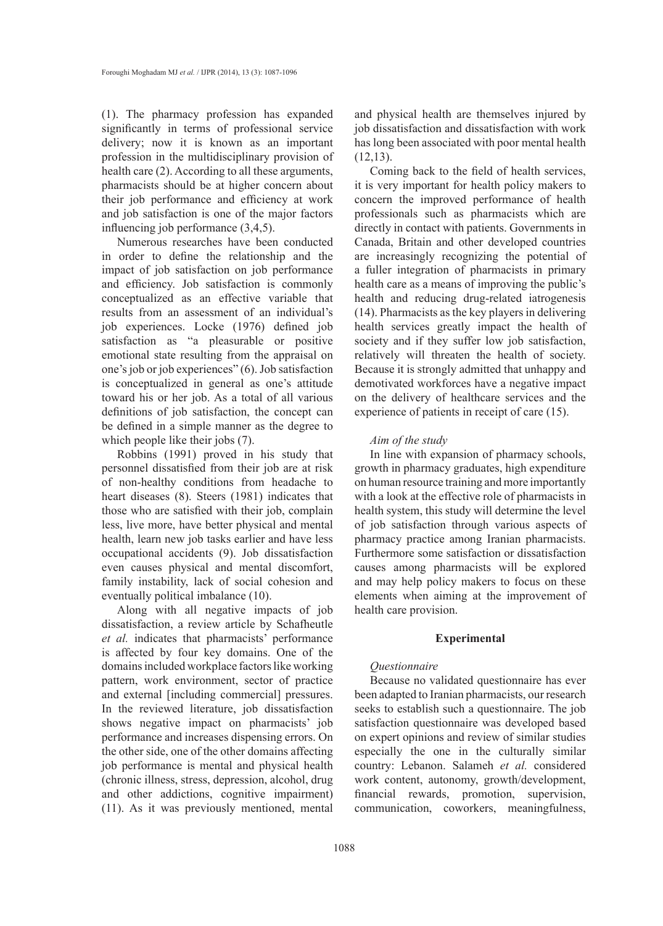(1). The pharmacy profession has expanded significantly in terms of professional service delivery; now it is known as an important profession in the multidisciplinary provision of health care (2). According to all these arguments, pharmacists should be at higher concern about their job performance and efficiency at work and job satisfaction is one of the major factors influencing job performance (3,4,5).

Numerous researches have been conducted in order to define the relationship and the impact of job satisfaction on job performance and efficiency. Job satisfaction is commonly conceptualized as an effective variable that results from an assessment of an individual's job experiences. Locke (1976) defined job satisfaction as "a pleasurable or positive emotional state resulting from the appraisal on one's job or job experiences" (6). Job satisfaction is conceptualized in general as one's attitude toward his or her job. As a total of all various definitions of job satisfaction, the concept can be defined in a simple manner as the degree to which people like their jobs (7).

Robbins (1991) proved in his study that personnel dissatisfied from their job are at risk of non-healthy conditions from headache to heart diseases (8). Steers (1981) indicates that those who are satisfied with their job, complain less, live more, have better physical and mental health, learn new job tasks earlier and have less occupational accidents (9). Job dissatisfaction even causes physical and mental discomfort, family instability, lack of social cohesion and eventually political imbalance (10).

Along with all negative impacts of job dissatisfaction, a review article by Schafheutle *et al.* indicates that pharmacists' performance is affected by four key domains. One of the domains included workplace factors like working pattern, work environment, sector of practice and external [including commercial] pressures. In the reviewed literature, job dissatisfaction shows negative impact on pharmacists' job performance and increases dispensing errors. On the other side, one of the other domains affecting job performance is mental and physical health (chronic illness, stress, depression, alcohol, drug and other addictions, cognitive impairment) (11). As it was previously mentioned, mental

and physical health are themselves injured by job dissatisfaction and dissatisfaction with work has long been associated with poor mental health  $(12,13)$ .

Coming back to the field of health services, it is very important for health policy makers to concern the improved performance of health professionals such as pharmacists which are directly in contact with patients. Governments in Canada, Britain and other developed countries are increasingly recognizing the potential of a fuller integration of pharmacists in primary health care as a means of improving the public's health and reducing drug-related iatrogenesis (14). Pharmacists as the key players in delivering health services greatly impact the health of society and if they suffer low job satisfaction, relatively will threaten the health of society. Because it is strongly admitted that unhappy and demotivated workforces have a negative impact on the delivery of healthcare services and the experience of patients in receipt of care (15).

## *Aim of the study*

In line with expansion of pharmacy schools, growth in pharmacy graduates, high expenditure on human resource training and more importantly with a look at the effective role of pharmacists in health system, this study will determine the level of job satisfaction through various aspects of pharmacy practice among Iranian pharmacists. Furthermore some satisfaction or dissatisfaction causes among pharmacists will be explored and may help policy makers to focus on these elements when aiming at the improvement of health care provision.

# **Experimental**

# *Questionnaire*

Because no validated questionnaire has ever been adapted to Iranian pharmacists, our research seeks to establish such a questionnaire. The job satisfaction questionnaire was developed based on expert opinions and review of similar studies especially the one in the culturally similar country: Lebanon. Salameh *et al.* considered work content, autonomy, growth/development, financial rewards, promotion, supervision, communication, coworkers, meaningfulness,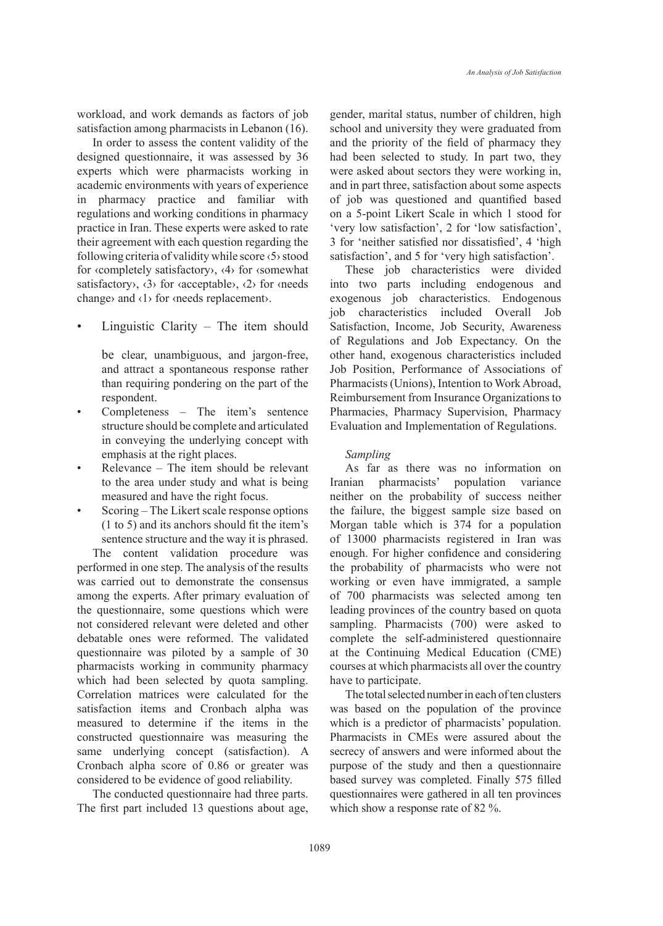workload, and work demands as factors of job satisfaction among pharmacists in Lebanon (16).

In order to assess the content validity of the designed questionnaire, it was assessed by 36 experts which were pharmacists working in academic environments with years of experience in pharmacy practice and familiar with regulations and working conditions in pharmacy practice in Iran. These experts were asked to rate their agreement with each question regarding the following criteria of validity while score ‹5› stood for ‹completely satisfactory›, ‹4› for ‹somewhat satisfactory),  $\langle 3 \rangle$  for  $\langle$  acceptable $\rangle$ ,  $\langle 2 \rangle$  for  $\langle$  needs change› and ‹1› for ‹needs replacement›.

Linguistic Clarity – The item should

be clear, unambiguous, and jargon-free, and attract a spontaneous response rather than requiring pondering on the part of the respondent.

- Completeness The item's sentence structure should be complete and articulated in conveying the underlying concept with emphasis at the right places.
- Relevance The item should be relevant to the area under study and what is being measured and have the right focus.
- Scoring The Likert scale response options (1 to 5) and its anchors should fit the item's sentence structure and the way it is phrased.

The content validation procedure was performed in one step. The analysis of the results was carried out to demonstrate the consensus among the experts. After primary evaluation of the questionnaire, some questions which were not considered relevant were deleted and other debatable ones were reformed. The validated questionnaire was piloted by a sample of 30 pharmacists working in community pharmacy which had been selected by quota sampling. Correlation matrices were calculated for the satisfaction items and Cronbach alpha was measured to determine if the items in the constructed questionnaire was measuring the same underlying concept (satisfaction). A Cronbach alpha score of 0.86 or greater was considered to be evidence of good reliability.

The conducted questionnaire had three parts. The first part included 13 questions about age, gender, marital status, number of children, high school and university they were graduated from and the priority of the field of pharmacy they had been selected to study. In part two, they were asked about sectors they were working in, and in part three, satisfaction about some aspects of job was questioned and quantified based on a 5-point Likert Scale in which 1 stood for 'very low satisfaction', 2 for 'low satisfaction', 3 for 'neither satisfied nor dissatisfied', 4 'high satisfaction', and 5 for 'very high satisfaction'.

These job characteristics were divided into two parts including endogenous and exogenous job characteristics. Endogenous job characteristics included Overall Job Satisfaction, Income, Job Security, Awareness of Regulations and Job Expectancy. On the other hand, exogenous characteristics included Job Position, Performance of Associations of Pharmacists (Unions), Intention to Work Abroad, Reimbursement from Insurance Organizations to Pharmacies, Pharmacy Supervision, Pharmacy Evaluation and Implementation of Regulations.

## *Sampling*

As far as there was no information on nian pharmacists' population variance Iranian pharmacists' population variance neither on the probability of success neither the failure, the biggest sample size based on Morgan table which is 374 for a population of 13000 pharmacists registered in Iran was enough. For higher confidence and considering the probability of pharmacists who were not working or even have immigrated, a sample of 700 pharmacists was selected among ten leading provinces of the country based on quota sampling. Pharmacists (700) were asked to complete the self-administered questionnaire at the Continuing Medical Education (CME) courses at which pharmacists all over the country have to participate.

The total selected number in each of ten clusters was based on the population of the province which is a predictor of pharmacists' population. Pharmacists in CMEs were assured about the secrecy of answers and were informed about the purpose of the study and then a questionnaire based survey was completed. Finally 575 filled questionnaires were gathered in all ten provinces which show a response rate of 82 %.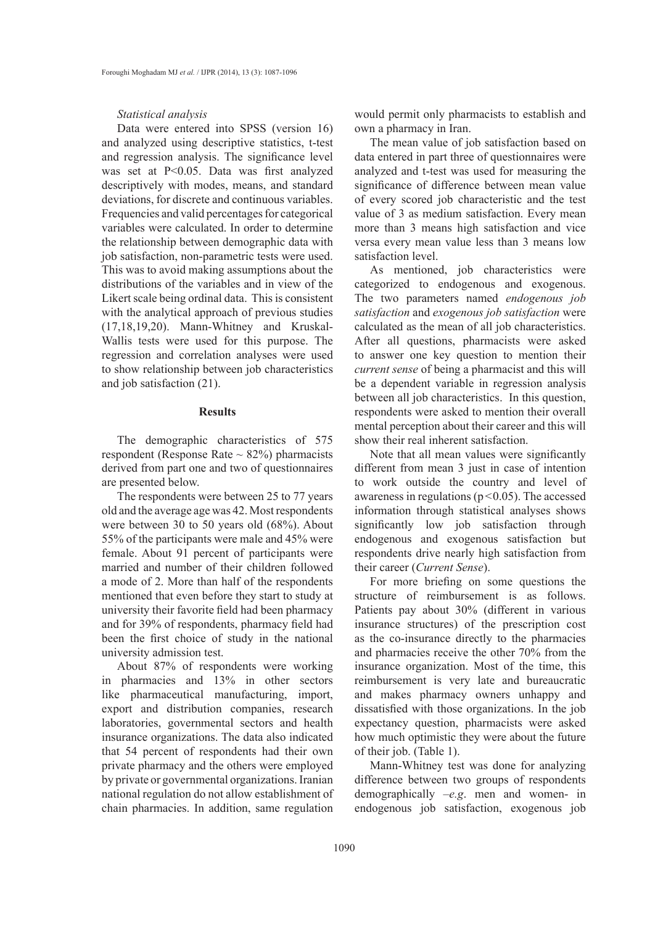## *Statistical analysis*

Data were entered into SPSS (version 16) and analyzed using descriptive statistics, t-test and regression analysis. The significance level was set at P<0.05. Data was first analyzed descriptively with modes, means, and standard deviations, for discrete and continuous variables. Frequencies and valid percentages for categorical variables were calculated. In order to determine the relationship between demographic data with job satisfaction, non-parametric tests were used. This was to avoid making assumptions about the distributions of the variables and in view of the Likert scale being ordinal data. This is consistent with the analytical approach of previous studies (17,18,19,20). Mann-Whitney and Kruskal-Wallis tests were used for this purpose. The regression and correlation analyses were used to show relationship between job characteristics and job satisfaction (21).

## **Results**

The demographic characteristics of 575 respondent (Response Rate  $\sim$  82%) pharmacists derived from part one and two of questionnaires are presented below.

The respondents were between 25 to 77 years old and the average age was 42. Most respondents were between 30 to 50 years old (68%). About 55% of the participants were male and 45% were female. About 91 percent of participants were married and number of their children followed a mode of 2. More than half of the respondents mentioned that even before they start to study at university their favorite field had been pharmacy and for 39% of respondents, pharmacy field had been the first choice of study in the national university admission test.

About 87% of respondents were working in pharmacies and 13% in other sectors like pharmaceutical manufacturing, import, export and distribution companies, research laboratories, governmental sectors and health insurance organizations. The data also indicated that 54 percent of respondents had their own private pharmacy and the others were employed by private or governmental organizations. Iranian national regulation do not allow establishment of chain pharmacies. In addition, same regulation

would permit only pharmacists to establish and own a pharmacy in Iran.

The mean value of job satisfaction based on data entered in part three of questionnaires were analyzed and t-test was used for measuring the significance of difference between mean value of every scored job characteristic and the test value of 3 as medium satisfaction. Every mean more than 3 means high satisfaction and vice versa every mean value less than 3 means low satisfaction level.

As mentioned, job characteristics were categorized to endogenous and exogenous. The two parameters named *endogenous job satisfaction* and *exogenous job satisfaction* were calculated as the mean of all job characteristics. After all questions, pharmacists were asked to answer one key question to mention their *current sense* of being a pharmacist and this will be a dependent variable in regression analysis between all job characteristics. In this question, respondents were asked to mention their overall mental perception about their career and this will show their real inherent satisfaction.

Note that all mean values were significantly different from mean 3 just in case of intention to work outside the country and level of awareness in regulations ( $p < 0.05$ ). The accessed information through statistical analyses shows significantly low job satisfaction through endogenous and exogenous satisfaction but respondents drive nearly high satisfaction from their career (*Current Sense*).

For more briefing on some questions the structure of reimbursement is as follows. Patients pay about 30% (different in various insurance structures) of the prescription cost as the co-insurance directly to the pharmacies and pharmacies receive the other 70% from the insurance organization. Most of the time, this reimbursement is very late and bureaucratic and makes pharmacy owners unhappy and dissatisfied with those organizations. In the job expectancy question, pharmacists were asked how much optimistic they were about the future of their job. (Table 1).

Mann-Whitney test was done for analyzing difference between two groups of respondents demographically –*e.g*. men and women- in endogenous job satisfaction, exogenous job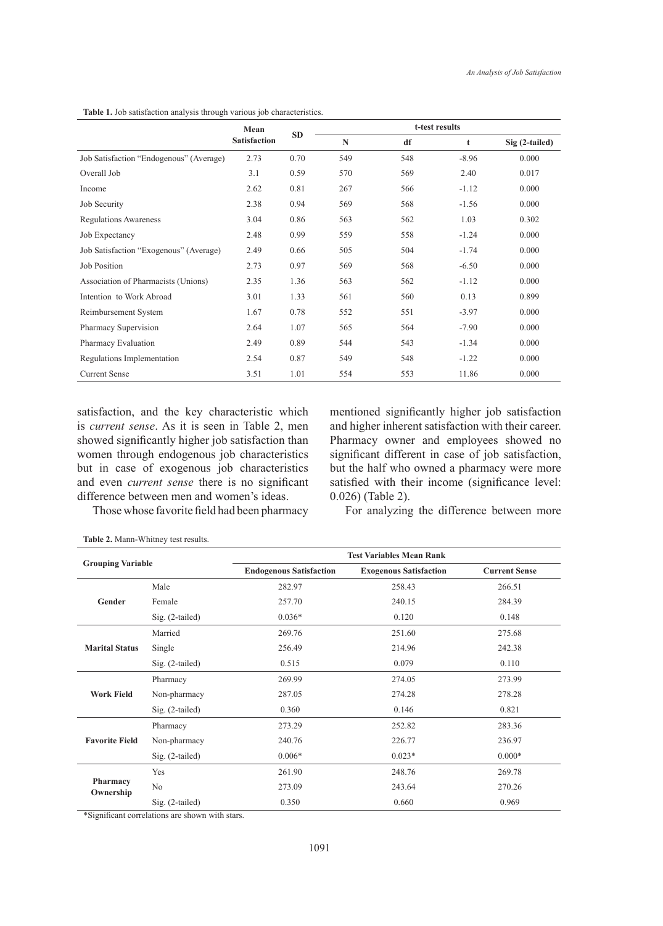**Table 1.** Job satisfaction analysis through various job characteristics.

|                                         | Mean                | <b>SD</b> | t-test results |     |         |                |
|-----------------------------------------|---------------------|-----------|----------------|-----|---------|----------------|
|                                         | <b>Satisfaction</b> |           | $\mathbb{N}$   | df  | t       | Sig (2-tailed) |
| Job Satisfaction "Endogenous" (Average) | 2.73                | 0.70      | 549            | 548 | $-8.96$ | 0.000          |
| Overall Job                             | 3.1                 | 0.59      | 570            | 569 | 2.40    | 0.017          |
| Income                                  | 2.62                | 0.81      | 267            | 566 | $-1.12$ | 0.000          |
| Job Security                            | 2.38                | 0.94      | 569            | 568 | $-1.56$ | 0.000          |
| <b>Regulations Awareness</b>            | 3.04                | 0.86      | 563            | 562 | 1.03    | 0.302          |
| Job Expectancy                          | 2.48                | 0.99      | 559            | 558 | $-1.24$ | 0.000          |
| Job Satisfaction "Exogenous" (Average)  | 2.49                | 0.66      | 505            | 504 | $-1.74$ | 0.000          |
| <b>Job Position</b>                     | 2.73                | 0.97      | 569            | 568 | $-6.50$ | 0.000          |
| Association of Pharmacists (Unions)     | 2.35                | 1.36      | 563            | 562 | $-1.12$ | 0.000          |
| Intention to Work Abroad                | 3.01                | 1.33      | 561            | 560 | 0.13    | 0.899          |
| Reimbursement System                    | 1.67                | 0.78      | 552            | 551 | $-3.97$ | 0.000          |
| Pharmacy Supervision                    | 2.64                | 1.07      | 565            | 564 | $-7.90$ | 0.000          |
| Pharmacy Evaluation                     | 2.49                | 0.89      | 544            | 543 | $-1.34$ | 0.000          |
| Regulations Implementation              | 2.54                | 0.87      | 549            | 548 | $-1.22$ | 0.000          |
| <b>Current Sense</b>                    | 3.51                | 1.01      | 554            | 553 | 11.86   | 0.000          |

satisfaction, and the key characteristic which is *current sense*. As it is seen in Table 2, men showed significantly higher job satisfaction than women through endogenous job characteristics but in case of exogenous job characteristics and even *current sense* there is no significant difference between men and women's ideas.

mentioned significantly higher job satisfaction and higher inherent satisfaction with their career. Pharmacy owner and employees showed no significant different in case of job satisfaction, but the half who owned a pharmacy were more satisfied with their income (significance level: 0.026) (Table 2).

Those whose favorite field had been pharmacy

For analyzing the difference between more

| <b>Grouping Variable</b> |                   | <b>Test Variables Mean Rank</b>                                                                                        |                                                                                                                                                      |                      |  |  |
|--------------------------|-------------------|------------------------------------------------------------------------------------------------------------------------|------------------------------------------------------------------------------------------------------------------------------------------------------|----------------------|--|--|
|                          |                   | <b>Endogenous Satisfaction</b>                                                                                         | <b>Exogenous Satisfaction</b><br>258.43<br>240.15<br>0.120<br>251.60<br>214.96<br>0.079<br>274.05<br>274.28<br>0.146<br>252.82<br>226.77<br>$0.023*$ | <b>Current Sense</b> |  |  |
|                          | Male              | 282.97                                                                                                                 |                                                                                                                                                      | 266.51               |  |  |
| Gender                   | Female            | 257.70                                                                                                                 |                                                                                                                                                      | 284.39               |  |  |
|                          | $Sig. (2-tailed)$ | $0.036*$<br>269.76<br>256.49<br>0.515<br>269.99<br>287.05<br>0.360<br>273.29<br>240.76<br>$0.006*$<br>261.90<br>248.76 | 0.148                                                                                                                                                |                      |  |  |
|                          | Married           |                                                                                                                        |                                                                                                                                                      | 275.68               |  |  |
| <b>Marital Status</b>    | Single            |                                                                                                                        |                                                                                                                                                      | 242.38               |  |  |
|                          | Sig. (2-tailed)   |                                                                                                                        |                                                                                                                                                      | 0.110                |  |  |
|                          | Pharmacy          |                                                                                                                        |                                                                                                                                                      | 273.99               |  |  |
| <b>Work Field</b>        | Non-pharmacy      |                                                                                                                        |                                                                                                                                                      | 278.28               |  |  |
|                          | $Sig. (2-tailed)$ |                                                                                                                        |                                                                                                                                                      | 0.821                |  |  |
|                          | Pharmacy          |                                                                                                                        |                                                                                                                                                      | 283.36               |  |  |
| <b>Favorite Field</b>    | Non-pharmacy      |                                                                                                                        |                                                                                                                                                      | 236.97               |  |  |
|                          | Sig. (2-tailed)   |                                                                                                                        |                                                                                                                                                      | $0.000*$             |  |  |
|                          | Yes               |                                                                                                                        |                                                                                                                                                      | 269.78               |  |  |
| Pharmacy<br>Ownership    | N <sub>o</sub>    | 273.09                                                                                                                 | 243.64                                                                                                                                               | 270.26               |  |  |
|                          | $Sig. (2-tailed)$ | 0.350                                                                                                                  | 0.660                                                                                                                                                | 0.969                |  |  |

**Table 2.** Mann-Whitney test results.

\*Significant correlations are shown with stars.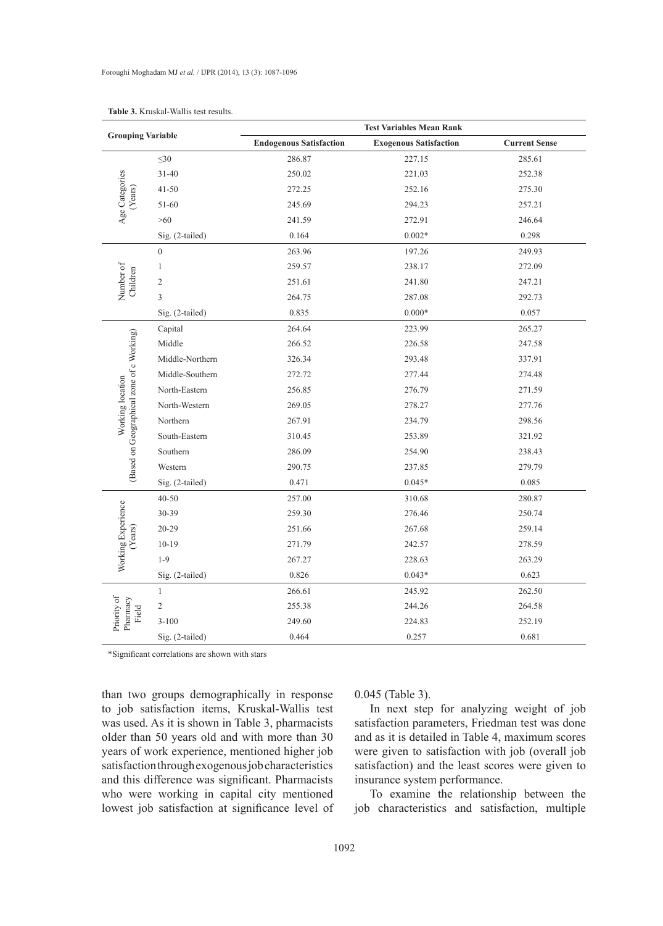|                                           |                 | <b>Test Variables Mean Rank</b> |                               |                      |
|-------------------------------------------|-----------------|---------------------------------|-------------------------------|----------------------|
| <b>Grouping Variable</b>                  |                 | <b>Endogenous Satisfaction</b>  | <b>Exogenous Satisfaction</b> | <b>Current Sense</b> |
|                                           | $\leq 30$       | 286.87                          | 227.15                        | 285.61               |
|                                           | $31 - 40$       | 250.02                          | 221.03                        | 252.38               |
| (Years)                                   | $41 - 50$       | 272.25                          | 252.16                        | 275.30               |
| Age Categories                            | 51-60           | 245.69                          | 294.23                        | 257.21               |
|                                           | >60             | 241.59                          | 272.91                        | 246.64               |
|                                           | Sig. (2-tailed) | 0.164                           | $0.002*$                      | 0.298                |
|                                           | $\overline{0}$  | 263.96                          | 197.26                        | 249.93               |
|                                           | $\mathbf{1}$    | 259.57                          | 238.17                        | 272.09               |
| Number of<br>Children                     | $\mathfrak{2}$  | 251.61                          | 241.80                        | 247.21               |
|                                           | 3               | 264.75                          | 287.08                        | 292.73               |
|                                           | Sig. (2-tailed) | 0.835                           | $0.000*$                      | 0.057                |
|                                           | Capital         | 264.64                          | 223.99                        | 265.27               |
|                                           | Middle          | 266.52                          | 226.58                        | 247.58               |
|                                           | Middle-Northern | 326.34                          | 293.48                        | 337.91               |
|                                           | Middle-Southern | 272.72                          | 277.44                        | 274.48               |
| Working location                          | North-Eastern   | 256.85                          | 276.79                        | 271.59               |
|                                           | North-Western   | 269.05                          | 278.27                        | 277.76               |
|                                           | Northern        | 267.91                          | 234.79                        | 298.56               |
|                                           | South-Eastern   | 310.45                          | 253.89                        | 321.92               |
| (Based on Geographical zone of c Working) | Southern        | 286.09                          | 254.90                        | 238.43               |
|                                           | Western         | 290.75                          | 237.85                        | 279.79               |
|                                           | Sig. (2-tailed) | 0.471                           | $0.045*$                      | 0.085                |
|                                           | $40 - 50$       | 257.00                          | 310.68                        | 280.87               |
|                                           | $30 - 39$       | 259.30                          | 276.46                        | 250.74               |
| Years)                                    | $20 - 29$       | 251.66                          | 267.68                        | 259.14               |
|                                           | $10 - 19$       | 271.79                          | 242.57                        | 278.59               |
| Working Experience                        | $1-9$           | 267.27                          | 228.63                        | 263.29               |
|                                           | Sig. (2-tailed) | 0.826                           | $0.043*$                      | 0.623                |
|                                           | $\mathbf{1}$    | 266.61                          | 245.92                        | 262.50               |
| Field                                     | $\overline{c}$  | 255.38                          | 244.26                        | 264.58               |
| Priority of<br>Pharmacy                   | $3 - 100$       | 249.60                          | 224.83                        | 252.19               |
|                                           | Sig. (2-tailed) | 0.464                           | 0.257                         | 0.681                |

**Table 3.** Kruskal-Wallis test results.

\*Significant correlations are shown with stars

than two groups demographically in response to job satisfaction items, Kruskal-Wallis test was used. As it is shown in Table 3, pharmacists older than 50 years old and with more than 30 years of work experience, mentioned higher job satisfaction through exogenous job characteristics and this difference was significant. Pharmacists who were working in capital city mentioned lowest job satisfaction at significance level of

## 0.045 (Table 3).

In next step for analyzing weight of job satisfaction parameters, Friedman test was done and as it is detailed in Table 4, maximum scores were given to satisfaction with job (overall job satisfaction) and the least scores were given to insurance system performance.

To examine the relationship between the job characteristics and satisfaction, multiple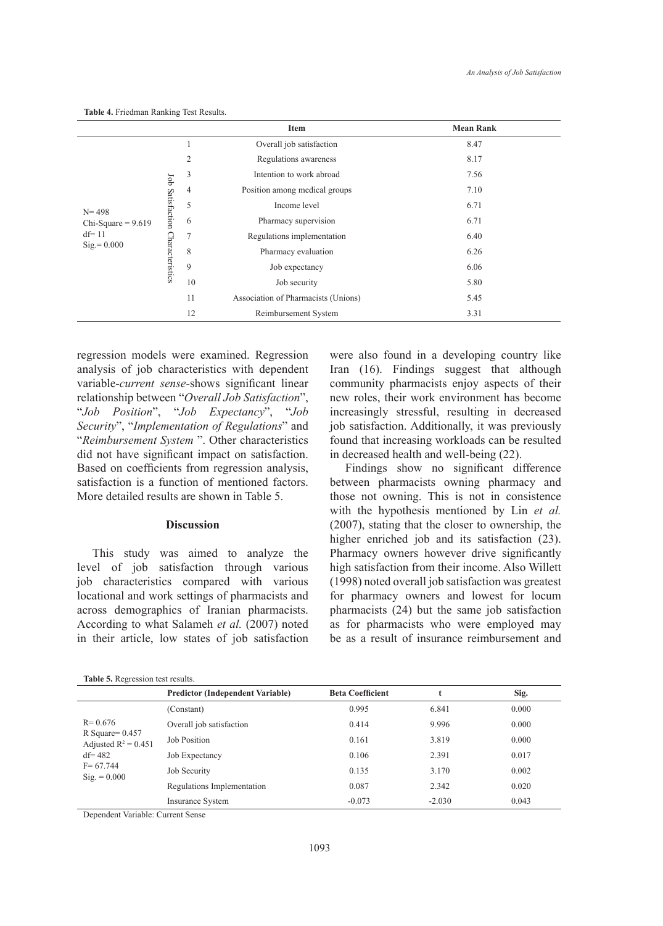|                            |                  |                | Item                                | <b>Mean Rank</b>     |      |
|----------------------------|------------------|----------------|-------------------------------------|----------------------|------|
|                            |                  | 1              | Overall job satisfaction            | 8.47                 |      |
|                            |                  | $\overline{2}$ | Regulations awareness               | 8.17                 |      |
|                            | Job Satisfaction | 3              | Intention to work abroad            | 7.56                 |      |
|                            |                  | $\overline{4}$ | Position among medical groups       | 7.10                 |      |
| $N = 498$                  |                  | 5              | Income level                        | 6.71                 |      |
| Chi-Square = $9.619$       | Characteristics  |                | 6                                   | Pharmacy supervision | 6.71 |
| $df = 11$<br>$Sig = 0.000$ |                  | $\overline{7}$ | Regulations implementation          | 6.40                 |      |
|                            |                  | 8              | Pharmacy evaluation                 | 6.26                 |      |
|                            |                  | 9              | Job expectancy                      | 6.06                 |      |
|                            |                  | 10             | Job security                        | 5.80                 |      |
|                            |                  | 11             | Association of Pharmacists (Unions) | 5.45                 |      |
|                            |                  | 12             | Reimbursement System                | 3.31                 |      |

**Table 4.** Friedman Ranking Test Results.

regression models were examined. Regression analysis of job characteristics with dependent variable-*current sense-*shows significant linear relationship between "*Overall Job Satisfaction*", "*Job Position*", "*Job Expectancy*", "*Job Security*", "*Implementation of Regulations*" and "*Reimbursement System* ". Other characteristics did not have significant impact on satisfaction. Based on coefficients from regression analysis, satisfaction is a function of mentioned factors. More detailed results are shown in Table 5.

# **Discussion**

This study was aimed to analyze the level of job satisfaction through various job characteristics compared with various locational and work settings of pharmacists and across demographics of Iranian pharmacists. According to what Salameh *et al.* (2007) noted in their article, low states of job satisfaction were also found in a developing country like Iran (16). Findings suggest that although community pharmacists enjoy aspects of their new roles, their work environment has become increasingly stressful, resulting in decreased job satisfaction. Additionally, it was previously found that increasing workloads can be resulted in decreased health and well-being (22).

Findings show no significant difference between pharmacists owning pharmacy and those not owning. This is not in consistence with the hypothesis mentioned by Lin *et al.* (2007), stating that the closer to ownership, the higher enriched job and its satisfaction (23). Pharmacy owners however drive significantly high satisfaction from their income. Also Willett (1998) noted overall job satisfaction was greatest for pharmacy owners and lowest for locum pharmacists (24) but the same job satisfaction as for pharmacists who were employed may be as a result of insurance reimbursement and

|                                                                                                                   | <b>Predictor (Independent Variable)</b> | <b>Beta Coefficient</b> |          | Sig.  |
|-------------------------------------------------------------------------------------------------------------------|-----------------------------------------|-------------------------|----------|-------|
| $R = 0.676$<br>R Square= $0.457$<br>Adjusted $R^2 = 0.451$<br>$df = 482$<br>$F = 67.744$<br>$\text{Sig.} = 0.000$ | (Constant)                              | 0.995                   | 6.841    | 0.000 |
|                                                                                                                   | Overall job satisfaction                | 0.414                   | 9.996    | 0.000 |
|                                                                                                                   | <b>Job Position</b>                     | 0.161                   | 3.819    | 0.000 |
|                                                                                                                   | Job Expectancy                          | 0.106                   | 2.391    | 0.017 |
|                                                                                                                   | Job Security                            | 0.135                   | 3.170    | 0.002 |
|                                                                                                                   | Regulations Implementation              | 0.087                   | 2.342    | 0.020 |
|                                                                                                                   | <b>Insurance System</b>                 | $-0.073$                | $-2.030$ | 0.043 |

Dependent Variable: Current Sense

**Table 5.** Regression test results.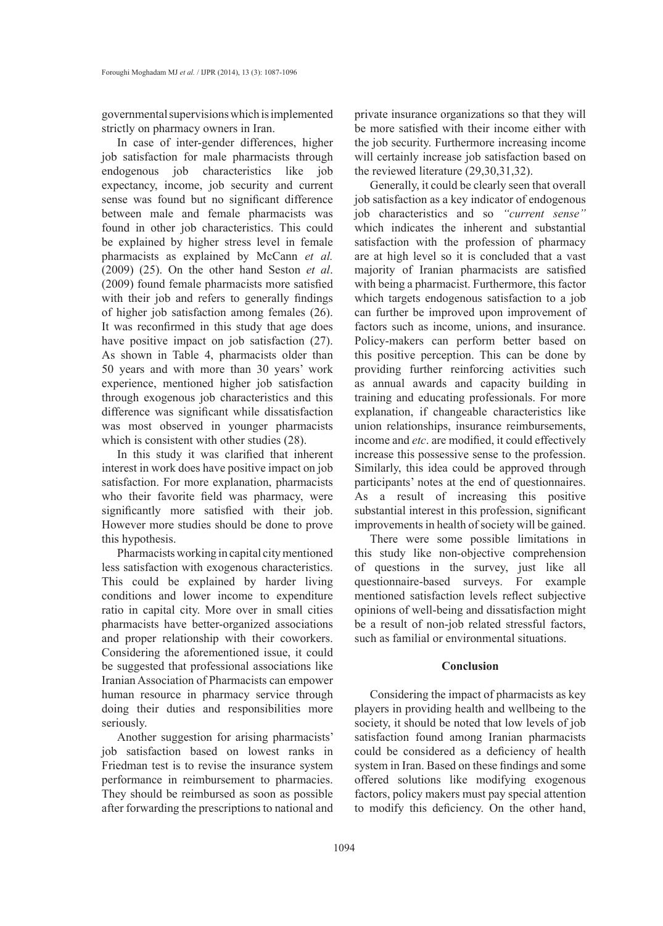governmental supervisions which is implemented strictly on pharmacy owners in Iran.

In case of inter-gender differences, higher job satisfaction for male pharmacists through endogenous job characteristics like job expectancy, income, job security and current sense was found but no significant difference between male and female pharmacists was found in other job characteristics. This could be explained by higher stress level in female pharmacists as explained by McCann *et al.* (2009) (25). On the other hand Seston *et al*. (2009) found female pharmacists more satisfied with their job and refers to generally findings of higher job satisfaction among females (26). It was reconfirmed in this study that age does have positive impact on job satisfaction (27). As shown in Table 4, pharmacists older than 50 years and with more than 30 years' work experience, mentioned higher job satisfaction through exogenous job characteristics and this difference was significant while dissatisfaction was most observed in younger pharmacists which is consistent with other studies (28).

In this study it was clarified that inherent interest in work does have positive impact on job satisfaction. For more explanation, pharmacists who their favorite field was pharmacy, were significantly more satisfied with their job. However more studies should be done to prove this hypothesis.

Pharmacists working in capital city mentioned less satisfaction with exogenous characteristics. This could be explained by harder living conditions and lower income to expenditure ratio in capital city. More over in small cities pharmacists have better-organized associations and proper relationship with their coworkers. Considering the aforementioned issue, it could be suggested that professional associations like Iranian Association of Pharmacists can empower human resource in pharmacy service through doing their duties and responsibilities more seriously.

Another suggestion for arising pharmacists' job satisfaction based on lowest ranks in Friedman test is to revise the insurance system performance in reimbursement to pharmacies. They should be reimbursed as soon as possible after forwarding the prescriptions to national and private insurance organizations so that they will be more satisfied with their income either with the job security. Furthermore increasing income will certainly increase job satisfaction based on the reviewed literature (29,30,31,32).

Generally, it could be clearly seen that overall job satisfaction as a key indicator of endogenous job characteristics and so *"current sense"*  which indicates the inherent and substantial satisfaction with the profession of pharmacy are at high level so it is concluded that a vast majority of Iranian pharmacists are satisfied with being a pharmacist. Furthermore, this factor which targets endogenous satisfaction to a job can further be improved upon improvement of factors such as income, unions, and insurance. Policy-makers can perform better based on this positive perception. This can be done by providing further reinforcing activities such as annual awards and capacity building in training and educating professionals. For more explanation, if changeable characteristics like union relationships, insurance reimbursements, income and *etc*. are modified, it could effectively increase this possessive sense to the profession. Similarly, this idea could be approved through participants' notes at the end of questionnaires. As a result of increasing this positive substantial interest in this profession, significant improvements in health of society will be gained.

There were some possible limitations in this study like non-objective comprehension of questions in the survey, just like all questionnaire-based surveys. For example mentioned satisfaction levels reflect subjective opinions of well-being and dissatisfaction might be a result of non-job related stressful factors, such as familial or environmental situations.

## **Conclusion**

Considering the impact of pharmacists as key players in providing health and wellbeing to the society, it should be noted that low levels of job satisfaction found among Iranian pharmacists could be considered as a deficiency of health system in Iran. Based on these findings and some offered solutions like modifying exogenous factors, policy makers must pay special attention to modify this deficiency. On the other hand,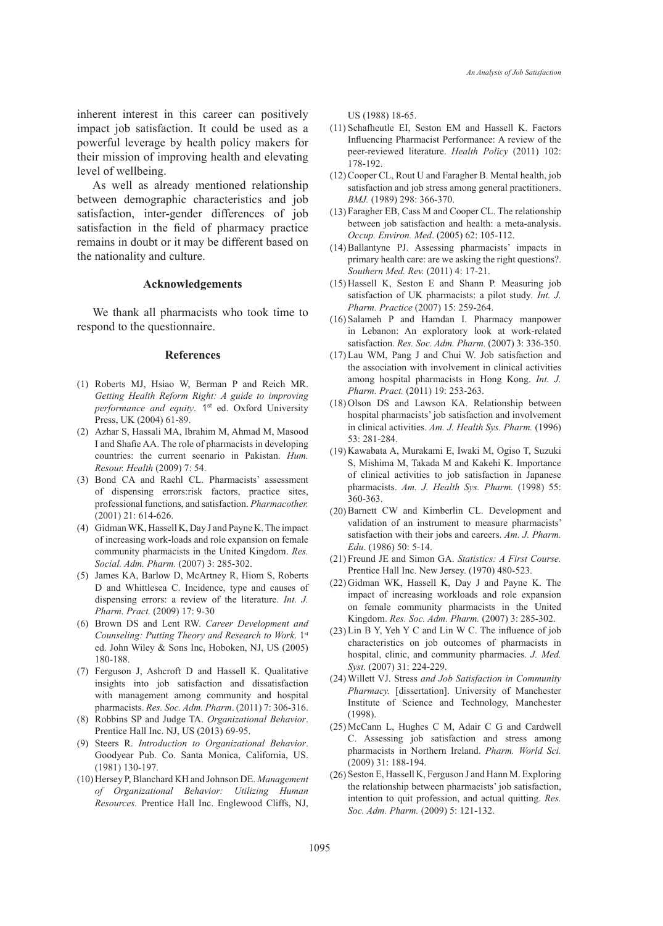inherent interest in this career can positively impact job satisfaction. It could be used as a powerful leverage by health policy makers for their mission of improving health and elevating level of wellbeing.

As well as already mentioned relationship between demographic characteristics and job satisfaction, inter-gender differences of job satisfaction in the field of pharmacy practice remains in doubt or it may be different based on the nationality and culture.

#### **Acknowledgements**

We thank all pharmacists who took time to respond to the questionnaire.

#### **References**

- (1) Roberts MJ, Hsiao W, Berman P and Reich MR. *Getting Health Reform Right: A guide to improving*  performance and equity. 1<sup>st</sup> ed. Oxford University Press, UK (2004) 61-89.
- Azhar S, Hassali MA, Ibrahim M, Ahmad M, Masood (2) I and Shafie AA. The role of pharmacists in developing countries: the current scenario in Pakistan. *Hum. Resour. Health* (2009) 7: 54.
- (3) Bond CA and Raehl CL. Pharmacists' assessment of dispensing errors:risk factors, practice sites, professional functions, and satisfaction. *Pharmacother.*  (2001) 21: 614-626.
- (4) Gidman WK, Hassell K, Day J and Payne K. The impact of increasing work-loads and role expansion on female community pharmacists in the United Kingdom. *Res. Social. Adm. Pharm.* (2007) 3: 285-302.
- (5) James KA, Barlow D, McArtney R, Hiom S, Roberts D and Whittlesea C. Incidence, type and causes of dispensing errors: a review of the literature. *Int. J. Pharm. Pract.* (2009) 17: 9-30
- Brown DS and Lent RW. *Career Development and*  (6) *Counseling: Putting Theory and Research to Work*. 1st ed. John Wiley & Sons Inc, Hoboken, NJ, US (2005) 180-188.
- Ferguson J, Ashcroft D and Hassell K. Qualitative (7) insights into job satisfaction and dissatisfaction with management among community and hospital pharmacists. *Res. Soc. Adm. Pharm*. (2011) 7: 306-316.
- Robbins SP and Judge TA. *Organizational Behavior*. (8) Prentice Hall Inc. NJ, US (2013) 69-95.
- Steers R. *Introduction to Organizational Behavior*. (9) Goodyear Pub. Co. Santa Monica, California, US. (1981) 130-197.
- (10) Hersey P, Blanchard KH and Johnson DE. Management *of Organizational Behavior: Utilizing Human Resources.* Prentice Hall Inc. Englewood Cliffs, NJ,

US (1988) 18-65.

- $(11)$  Schafheutle EI, Seston EM and Hassell K. Factors Influencing Pharmacist Performance: A review of the peer-reviewed literature. *Health Policy* (2011) 102: 178-192.
- (12) Cooper CL, Rout U and Faragher B. Mental health, job satisfaction and job stress among general practitioners. *BMJ.* (1989) 298: 366-370.
- Faragher EB, Cass M and Cooper CL. The relationship (13) between job satisfaction and health: a meta-analysis. *Occup. Environ. Med*. (2005) 62: 105-112.
- (14) Ballantyne PJ. Assessing pharmacists' impacts in primary health care: are we asking the right questions?. *Southern Med. Rev.* (2011) 4: 17-21.
- $(15)$  Hassell K, Seston E and Shann P. Measuring job satisfaction of UK pharmacists: a pilot study*. Int. J. Pharm. Practice* (2007) 15: 259-264.
- $(16)$  Salameh P and Hamdan I. Pharmacy manpower in Lebanon: An exploratory look at work-related satisfaction. *Res. Soc. Adm. Pharm.* (2007) 3: 336-350.
- Lau WM, Pang J and Chui W. Job satisfaction and (17) the association with involvement in clinical activities among hospital pharmacists in Hong Kong. *Int. J. Pharm. Pract.* (2011) 19: 253-263.
- $(18)$  Olson DS and Lawson KA. Relationship between hospital pharmacists' job satisfaction and involvement in clinical activities. *Am. J. Health Sys. Pharm.* (1996) 53: 281-284.
- (19) Kawabata A, Murakami E, Iwaki M, Ogiso T, Suzuki S, Mishima M, Takada M and Kakehi K. Importance of clinical activities to job satisfaction in Japanese pharmacists. *Am. J. Health Sys. Pharm.* (1998) 55: 360-363.
- (20) Barnett CW and Kimberlin CL. Development and validation of an instrument to measure pharmacists' satisfaction with their jobs and careers. *Am. J. Pharm. Edu*. (1986) 50: 5-14.
- Freund JE and Simon GA. *Statistics: A First Course.* (21) Prentice Hall Inc. New Jersey. (1970) 480-523.
- $(22)$  Gidman WK, Hassell K, Day J and Payne K. The impact of increasing workloads and role expansion on female community pharmacists in the United Kingdom. *Res. Soc. Adm. Pharm.* (2007) 3: 285-302.
- $(23)$  Lin B Y, Yeh Y C and Lin W C. The influence of job characteristics on job outcomes of pharmacists in hospital, clinic, and community pharmacies. *J. Med. Syst.* (2007) 31: 224-229.
- Willett VJ. Stress *and Job Satisfaction in Community*  (24) *Pharmacy.* [dissertation]. University of Manchester Institute of Science and Technology, Manchester (1998).
- (25) McCann L, Hughes C M, Adair C G and Cardwell C. Assessing job satisfaction and stress among pharmacists in Northern Ireland. *Pharm. World Sci.* (2009) 31: 188-194.
- (26) Seston E, Hassell K, Ferguson J and Hann M. Exploring the relationship between pharmacists' job satisfaction, intention to quit profession, and actual quitting. *Res. Soc. Adm. Pharm.* (2009) 5: 121-132.